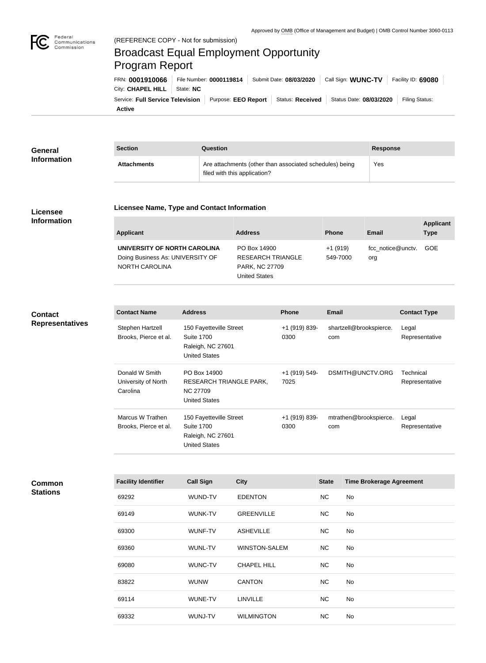

Federal

# Broadcast Equal Employment Opportunity Program Report

|                               |  |  | FRN: 0001910066 File Number: 0000119814 Submit Date: 08/03/2020 Call Sign: WUNC-TV Facility ID: 69080                |  |
|-------------------------------|--|--|----------------------------------------------------------------------------------------------------------------------|--|
| City: CHAPEL HILL   State: NC |  |  |                                                                                                                      |  |
|                               |  |  | Service: Full Service Television   Purpose: EEO Report   Status: Received   Status Date: 08/03/2020   Filing Status: |  |
| <b>Active</b>                 |  |  |                                                                                                                      |  |

| <b>General</b><br><b>Information</b> | <b>Section</b>     | Question                                                                                | <b>Response</b> |
|--------------------------------------|--------------------|-----------------------------------------------------------------------------------------|-----------------|
|                                      | <b>Attachments</b> | Are attachments (other than associated schedules) being<br>filed with this application? | Yes             |

## **Licensee Information**

#### **Licensee Name, Type and Contact Information**

| Applicant                        | <b>Address</b>           | <b>Phone</b> | Email             | <b>Applicant</b><br><b>Type</b> |
|----------------------------------|--------------------------|--------------|-------------------|---------------------------------|
| UNIVERSITY OF NORTH CAROLINA     | PO Box 14900             | $+1(919)$    | fcc notice@unctv. | GOE                             |
| Doing Business As: UNIVERSITY OF | <b>RESEARCH TRIANGLE</b> | 549-7000     | org               |                                 |
| NORTH CAROLINA                   | <b>PARK, NC 27709</b>    |              |                   |                                 |
|                                  | United States            |              |                   |                                 |

# **Contact Representatives**

**Contact Name Address Phone Email Contact Type** Stephen Hartzell Brooks, Pierce et al. 150 Fayetteville Street Suite 1700 Raleigh, NC 27601 United States +1 (919) 839- 0300 shartzell@brookspierce. com Legal Representative Donald W Smith University of North Carolina PO Box 14900 RESEARCH TRIANGLE PARK, NC 27709 United States +1 (919) 549- 7025 DSMITH@UNCTV.ORG Technical Representative Marcus W Trathen Brooks, Pierce et al. 150 Fayetteville Street Suite 1700 Raleigh, NC 27601 United States +1 (919) 839- 0300 mtrathen@brookspierce. com Legal Representative

| Common          |
|-----------------|
| <b>Stations</b> |

| <b>Facility Identifier</b> | <b>Call Sign</b> | <b>City</b>          | <b>State</b> | <b>Time Brokerage Agreement</b> |
|----------------------------|------------------|----------------------|--------------|---------------------------------|
| 69292                      | WUND-TV          | <b>EDENTON</b>       | <b>NC</b>    | No                              |
| 69149                      | <b>WUNK-TV</b>   | <b>GREENVILLE</b>    | <b>NC</b>    | No                              |
| 69300                      | WUNF-TV          | <b>ASHEVILLE</b>     | <b>NC</b>    | No                              |
| 69360                      | <b>WUNL-TV</b>   | <b>WINSTON-SALEM</b> | <b>NC</b>    | No                              |
| 69080                      | WUNC-TV          | <b>CHAPEL HILL</b>   | <b>NC</b>    | No                              |
| 83822                      | <b>WUNW</b>      | <b>CANTON</b>        | <b>NC</b>    | No                              |
| 69114                      | WUNE-TV          | <b>LINVILLE</b>      | <b>NC</b>    | No                              |
| 69332                      | WUNJ-TV          | <b>WILMINGTON</b>    | NC.          | No                              |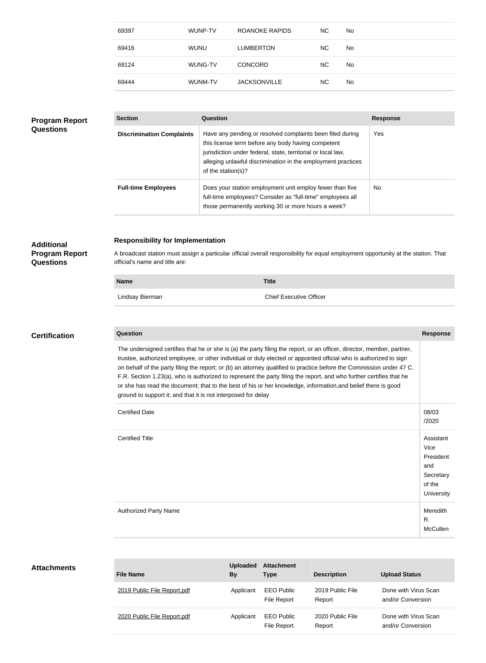| 69397 | WUNP-TV     | ROANOKE RAPIDS      | NC.       | <b>No</b> |
|-------|-------------|---------------------|-----------|-----------|
| 69416 | <b>WUNU</b> | <b>LUMBERTON</b>    | NC.       | <b>No</b> |
| 69124 | WUNG-TV     | <b>CONCORD</b>      | <b>NC</b> | No.       |
| 69444 | WUNM-TV     | <b>JACKSONVILLE</b> | <b>NC</b> | No.       |

## **Program Report Questions**

| <b>Section</b>                   | Question                                                                                                                                                                                                                                                              | <b>Response</b> |
|----------------------------------|-----------------------------------------------------------------------------------------------------------------------------------------------------------------------------------------------------------------------------------------------------------------------|-----------------|
| <b>Discrimination Complaints</b> | Have any pending or resolved complaints been filed during<br>this license term before any body having competent<br>jurisdiction under federal, state, territorial or local law,<br>alleging unlawful discrimination in the employment practices<br>of the station(s)? | Yes             |
| <b>Full-time Employees</b>       | Does your station employment unit employ fewer than five<br>full-time employees? Consider as "full-time" employees all<br>those permanently working 30 or more hours a week?                                                                                          | No.             |

## **Responsibility for Implementation**

**Program Report Questions**

**Additional** 

A broadcast station must assign a particular official overall responsibility for equal employment opportunity at the station. That official's name and title are:

| <b>Name</b> |                 | <b>Title</b>                   |
|-------------|-----------------|--------------------------------|
|             | Lindsay Bierman | <b>Chief Executive Officer</b> |

## **Certification**

**Question Response** The undersigned certifies that he or she is (a) the party filing the report, or an officer, director, member, partner, trustee, authorized employee, or other individual or duly elected or appointed official who is authorized to sign on behalf of the party filing the report; or (b) an attorney qualified to practice before the Commission under 47 C. F.R. Section 1.23(a), who is authorized to represent the party filing the report, and who further certifies that he or she has read the document; that to the best of his or her knowledge, information,and belief there is good ground to support it; and that it is not interposed for delay

| <b>Certified Date</b>        | 08/03<br>/2020                                                             |
|------------------------------|----------------------------------------------------------------------------|
| <b>Certified Title</b>       | Assistant<br>Vice<br>President<br>and<br>Secretary<br>of the<br>University |
| <b>Authorized Party Name</b> | Meredith<br>R.<br>McCullen                                                 |

#### **Attachments**

| <b>File Name</b>            | <b>Uploaded</b><br><b>By</b> | <b>Attachment</b><br><b>Type</b> | <b>Description</b>         | <b>Upload Status</b>                      |
|-----------------------------|------------------------------|----------------------------------|----------------------------|-------------------------------------------|
| 2019 Public File Report.pdf | Applicant                    | <b>EEO Public</b><br>File Report | 2019 Public File<br>Report | Done with Virus Scan<br>and/or Conversion |
| 2020 Public File Report.pdf | Applicant                    | <b>EEO Public</b><br>File Report | 2020 Public File<br>Report | Done with Virus Scan<br>and/or Conversion |